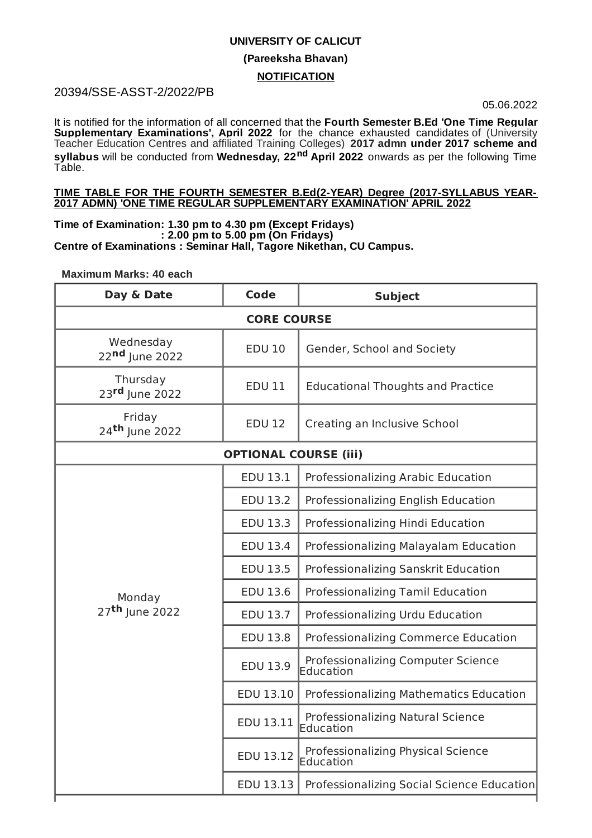## **UNIVERSITY OF CALICUT**

## **(Pareeksha Bhavan)**

## **NOTIFICATION**

# 20394/SSE-ASST-2/2022/PB

05.06.2022

It is notified for the information of all concerned that the **Fourth Semester B.Ed 'One Time Regular Supplementary Examinations', April 2022** for the chance exhausted candidates of (University Teacher Education Centres and affiliated Training Colleges) **2017 admn under 2017 scheme and syllabus** will be conducted from Wednesday, 22<sup>nd</sup> April 2022 onwards as per the following Time Table.

#### **TIME TABLE FOR THE FOURTH SEMESTER B.Ed(2-YEAR) Degree (2017-SYLLABUS YEAR-2017 ADMN) 'ONE TIME REGULAR SUPPLEMENTARY EXAMINATION' APRIL 2022**

**Time of Examination: 1.30 pm to 4.30 pm (Except Fridays) : 2.00 pm to 5.00 pm (On Fridays) Centre of Examinations : Seminar Hall, Tagore Nikethan, CU Campus.**

## **Maximum Marks: 40 each**

| Day & Date                           | <b>Code</b>     | <b>Subject</b>                                  |  |
|--------------------------------------|-----------------|-------------------------------------------------|--|
| <b>CORE COURSE</b>                   |                 |                                                 |  |
| Wednesday<br>22nd June 2022          | <b>EDU 10</b>   | Gender, School and Society                      |  |
| Thursday<br>23rd June 2022           | <b>EDU 11</b>   | <b>Educational Thoughts and Practice</b>        |  |
| Friday<br>24 <sup>th</sup> June 2022 | <b>EDU 12</b>   | Creating an Inclusive School                    |  |
| <b>OPTIONAL COURSE (iii)</b>         |                 |                                                 |  |
| Monday<br>27 <sup>th</sup> June 2022 | EDU 13.1        | Professionalizing Arabic Education              |  |
|                                      | EDU 13.2        | Professionalizing English Education             |  |
|                                      | EDU 13.3        | Professionalizing Hindi Education               |  |
|                                      | <b>EDU 13.4</b> | Professionalizing Malayalam Education           |  |
|                                      | EDU 13.5        | Professionalizing Sanskrit Education            |  |
|                                      | EDU 13.6        | Professionalizing Tamil Education               |  |
|                                      | EDU 13.7        | Professionalizing Urdu Education                |  |
|                                      | EDU 13.8        | Professionalizing Commerce Education            |  |
|                                      | EDU 13.9        | Professionalizing Computer Science<br>Education |  |
|                                      | EDU 13.10       | Professionalizing Mathematics Education         |  |
|                                      | EDU 13.11       | Professionalizing Natural Science<br>Education  |  |
|                                      | EDU 13.12       | Professionalizing Physical Science<br>Education |  |
|                                      | EDU 13.13       | Professionalizing Social Science Education      |  |